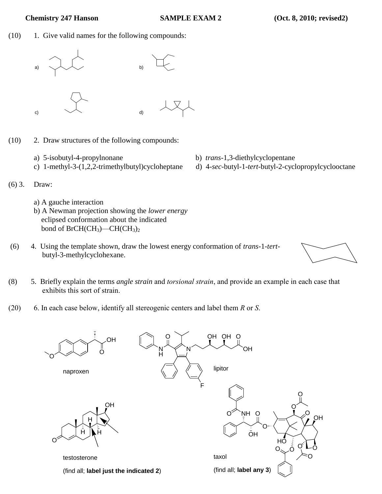(10) 1. Give valid names for the following compounds:



- (10) 2. Draw structures of the following compounds:
	- a) 5-isobutyl-4-propylnonane b) *trans*-1,3-diethylcyclopentane
	-
- 
- c) 1-methyl-3-(1,2,2-trimethylbutyl)cycloheptane d) 4-*sec*-butyl-1-*tert*-butyl-2-cyclopropylcyclooctane
- (6) 3. Draw:
	- a) A gauche interaction
	- b) A Newman projection showing the *lower energy*  eclipsed conformation about the indicated bond of  $BrCH(CH_3)$ —CH(CH<sub>3</sub>)<sub>2</sub>
- (6) 4. Using the template shown, draw the lowest energy conformation of *trans-*1-*tert*butyl-3-methylcyclohexane.



(20) 6. In each case below, identify all stereogenic centers and label them *R* or *S*.